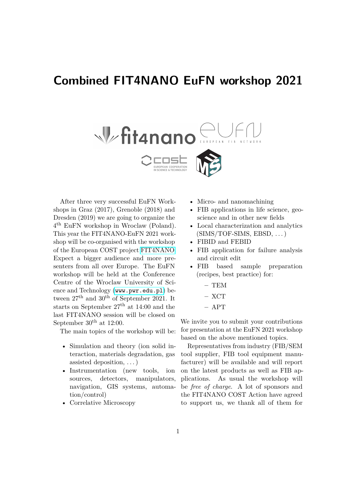## **Combined FIT4NANO EuFN workshop 2021**



After three very successful EuFN Workshops in Graz (2017), Grenoble (2018) and Dresden (2019) we are going to organize the 4 th EuFN workshop in Wroclaw (Poland). This year the FIT4NANO-EuFN 2021 workshop will be co-organised with the workshop of the European COST project [FIT4NANO.](https://www.fit4nano.eu) Expect a bigger audience and more presenters from all over Europe. The EuFN workshop will be held at the Conference Centre of the Wroclaw University of Science and Technology ([www.pwr.edu.pl](http://www.pwr.edu.pl)) between  $27<sup>th</sup>$  and  $30<sup>th</sup>$  of September 2021. It starts on September  $27<sup>th</sup>$  at 14:00 and the last FIT4NANO session will be closed on September  $30<sup>th</sup>$  at 12:00.

The main topics of the workshop will be:

- Simulation and theory (ion solid interaction, materials degradation, gas assisted deposition, . . . )
- Instrumentation (new tools, ion sources, detectors, manipulators, navigation, GIS systems, automation/control)
- Correlative Microscopy
- Micro- and nanomachining
- FIB applications in life science, geoscience and in other new fields
- Local characterization and analytics  $(SIMS/TOF-SIMS, EBSD, ...)$
- FIBID and FEBID
- FIB application for failure analysis and circuit edit
- FIB based sample preparation (recipes, best practice) for:
	- **–** TEM
	- **–** XCT
	- **–** APT

We invite you to submit your contributions for presentation at the EuFN 2021 workshop based on the above mentioned topics.

Representatives from industry (FIB/SEM tool supplier, FIB tool equipment manufacturer) will be available and will report on the latest products as well as FIB applications. As usual the workshop will be *free of charge*. A lot of sponsors and the FIT4NANO COST Action have agreed to support us, we thank all of them for